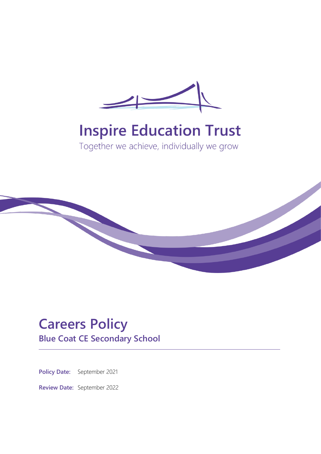

# **Inspire Education Trust**

Together we achieve, individually we grow



# **Careers Policy**

**Blue Coat CE Secondary School**

**Policy Date:** September 2021

**Review Date:** September 2022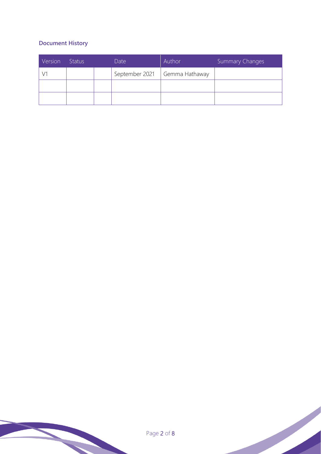### **Document History**

| Version | <b>Status</b> | Date           | Author         | Summary Changes |
|---------|---------------|----------------|----------------|-----------------|
|         |               | September 2021 | Gemma Hathaway |                 |
|         |               |                |                |                 |
|         |               |                |                |                 |

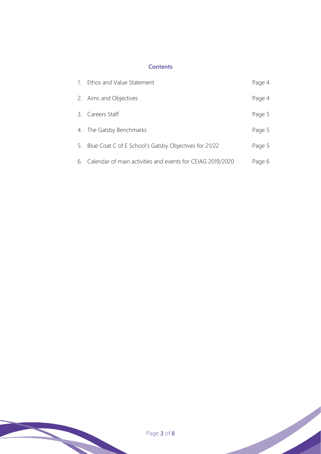#### **Contents**

| $\sim$ 1. | Ethos and Value Statement                                  | Page 4 |
|-----------|------------------------------------------------------------|--------|
|           | 2. Aims and Objectives                                     | Page 4 |
|           | 3. Careers Staff                                           | Page 5 |
|           | 4. The Gatsby Benchmarks                                   | Page 5 |
|           | 5. Blue Coat C of E School's Gatsby Objectives for 21/22   | Page 5 |
| 6.        | Calendar of main activities and events for CEIAG 2019/2020 | Page 6 |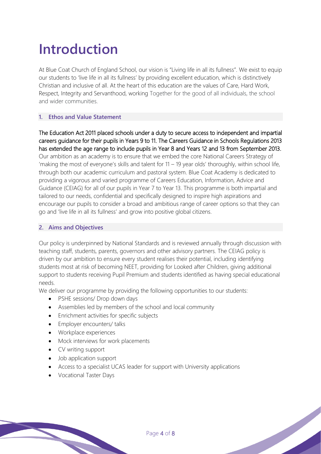## **Introduction**

At Blue Coat Church of England School, our vision is "Living life in all its fullness". We exist to equip our students to 'live life in all its fullness' by providing excellent education, which is distinctively Christian and inclusive of all. At the heart of this education are the values of Care, Hard Work, Respect, Integrity and Servanthood, working Together for the good of all individuals, the school and wider communities.

#### **1. Ethos and Value Statement**

The Education Act 2011 placed schools under a duty to secure access to independent and impartial careers guidance for their pupils in Years 9 to 11. The Careers Guidance in Schools Regulations 2013 has extended the age range to include pupils in Year 8 and Years 12 and 13 from September 2013. Our ambition as an academy is to ensure that we embed the core National Careers Strategy of 'making the most of everyone's skills and talent for 11 – 19 year olds' thoroughly, within school life, through both our academic curriculum and pastoral system. Blue Coat Academy is dedicated to providing a vigorous and varied programme of Careers Education, Information, Advice and Guidance (CEIAG) for all of our pupils in Year 7 to Year 13. This programme is both impartial and tailored to our needs, confidential and specifically designed to inspire high aspirations and encourage our pupils to consider a broad and ambitious range of career options so that they can go and 'live life in all its fullness' and grow into positive global citizens.

#### **2. Aims and Objectives**

Our policy is underpinned by National Standards and is reviewed annually through discussion with teaching staff, students, parents, governors and other advisory partners. The CEIAG policy is driven by our ambition to ensure every student realises their potential, including identifying students most at risk of becoming NEET, providing for Looked after Children, giving additional support to students receiving Pupil Premium and students identified as having special educational needs.

We deliver our programme by providing the following opportunities to our students:

- PSHE sessions/ Drop down days
- Assemblies led by members of the school and local community
- Enrichment activities for specific subjects
- Employer encounters/ talks
- Workplace experiences
- Mock interviews for work placements
- CV writing support
- Job application support
- Access to a specialist UCAS leader for support with University applications
- Vocational Taster Days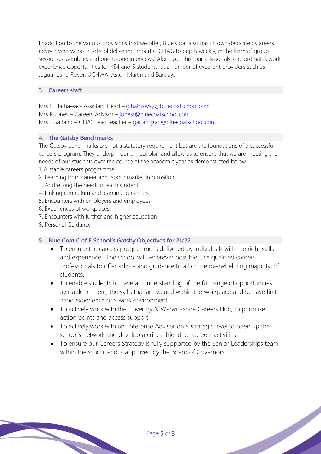In addition to the various provisions that we offer, Blue Coat also has its own dedicated Careers advisor who works in school delivering impartial CEIAG to pupils weekly, in the form of group sessions, assemblies and one to one interviews. Alongside this, our advisor also co-ordinates work experience opportunities for KS4 and 5 students, at a number of excellent providers such as Jaguar Land Rover, UCHWA, Aston Martin and Barclays.

#### **3. Careers staff**

Mrs G Hathaway- Assistant Head – [g.hathaway@bluecoatschool.com](mailto:g.hathaway@bluecoatschool.com) Mrs R Jones – Careers Advisor – [jonesr@bluecoatschool.com](mailto:jonesr@bluecoatschool.com) Mrs J Garland – CEIAG lead teacher – [garlandjudi@bluecoatschool.com](mailto:garlandjudi@bluecoatschool.com)

#### **4. The Gatsby Benchmarks**

The Gatsby benchmarks are not a statutory requirement but are the foundations of a successful careers program. They underpin our annual plan and allow us to ensure that we are meeting the needs of our students over the course of the academic year as demonstrated below.

- 1. A stable careers programme
- 2. Learning from career and labour market information
- 3. Addressing the needs of each student
- 4. Linking curriculum and learning to careers
- 5. Encounters with employers and employees
- 6. Experiences of workplaces
- 7. Encounters with further and higher education
- 8. Personal Guidance

#### **5. Blue Coat C of E School's Gatsby Objectives for 21/22**

- To ensure the careers programme is delivered by individuals with the right skills and experience. The school will, wherever possible, use qualified careers professionals to offer advice and guidance to all or the overwhelming majority, of students.
- To enable students to have an understanding of the full range of opportunities available to them, the skills that are valued within the workplace and to have firsthand experience of a work environment.
- To actively work with the Coventry & Warwickshire Careers Hub, to prioritise action points and access support.
- To actively work with an Enterprise Advisor on a strategic level to open up the school's network and develop a critical friend for careers activities.
- To ensure our Careers Strategy is fully supported by the Senior Leaderships team within the school and is approved by the Board of Governors.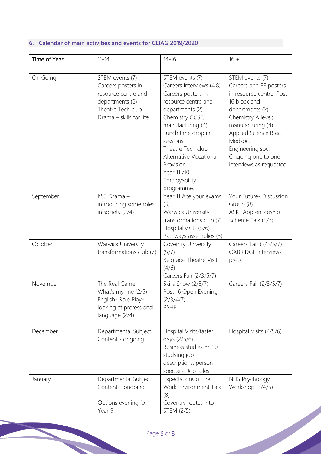## **6. Calendar of main activities and events for CEIAG 2019/2020**

| Time of Year | $11 - 14$                                                                                                                       | $14 - 16$                                                                                                                                                                                                                                                                                        | $16 +$                                                                                                                                                                                                                                                        |
|--------------|---------------------------------------------------------------------------------------------------------------------------------|--------------------------------------------------------------------------------------------------------------------------------------------------------------------------------------------------------------------------------------------------------------------------------------------------|---------------------------------------------------------------------------------------------------------------------------------------------------------------------------------------------------------------------------------------------------------------|
| On Going     | STEM events (7)<br>Careers posters in<br>resource centre and<br>departments (2)<br>Theatre Tech club<br>Drama - skills for life | STEM events (7)<br>Careers Interviews (4,8)<br>Careers posters in<br>resource centre and<br>departments (2)<br>Chemistry GCSE;<br>manufacturing (4)<br>Lunch time drop in<br>sessions.<br>Theatre Tech club<br>Alternative Vocational<br>Provision<br>Year 11 /10<br>Employability<br>programme. | STEM events (7)<br>Careers and FE posters<br>in resource centre, Post<br>16 block and<br>departments (2)<br>Chemistry A level;<br>manufacturing (4)<br>Applied Science Btec.<br>Medsoc.<br>Engineering soc.<br>Ongoing one to one<br>interviews as requested. |
| September    | KS3 Drama-<br>introducing some roles<br>in society (2/4)                                                                        | Year 11 Ace your exams<br>(3)<br>Warwick University<br>transformations club (7)<br>Hospital visits (5/6)<br>Pathways assemblies (3)                                                                                                                                                              | Your Future- Discussion<br>Group (8)<br>ASK- Apprenticeship<br>Scheme Talk (5/7)                                                                                                                                                                              |
| October      | Warwick University<br>transformations club (7)                                                                                  | Coventry University<br>(5/7)<br>Belgrade Theatre Visit<br>(4/6)<br>Careers Fair (2/3/5/7)                                                                                                                                                                                                        | Careers Fair (2/3/5/7)<br>OXBRIDGE interviews -<br>prep.                                                                                                                                                                                                      |
| November     | The Real Game<br>What's my line (2/5)<br>English-Role Play-<br>looking at professional<br>language (2/4)                        | Skills Show (2/5/7)<br>Post 16 Open Evening<br>(2/3/4/7)<br><b>PSHE</b>                                                                                                                                                                                                                          | Careers Fair (2/3/5/7)                                                                                                                                                                                                                                        |
| December     | Departmental Subject<br>Content - ongoing                                                                                       | Hospital Visits/taster<br>days (2/5/6)<br>Business studies Yr. 10 -<br>studying job<br>descriptions, person<br>spec and Job roles                                                                                                                                                                | Hospital Visits (2/5/6)                                                                                                                                                                                                                                       |
| January      | Departmental Subject<br>Content - ongoing<br>Options evening for<br>Year 9                                                      | Expectations of the<br>Work Environment Talk<br>(8)<br>Coventry routes into<br>STEM (2/5)                                                                                                                                                                                                        | NHS Psychology<br>Workshop (3/4/5)                                                                                                                                                                                                                            |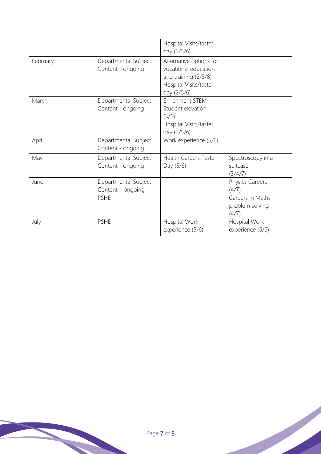|          |                                                          | Hospital Visits/taster<br>day (2/5/6)                                                                            |                                                                          |
|----------|----------------------------------------------------------|------------------------------------------------------------------------------------------------------------------|--------------------------------------------------------------------------|
| February | Departmental Subject<br>Content - ongoing                | Alternative options for<br>vocational education<br>and training (2/3/8)<br>Hospital Visits/taster<br>day (2/5/6) |                                                                          |
| March    | Departmental Subject<br>Content - ongoing                | Enrichment STEM-<br>Student elevation<br>(3/6)<br>Hospital Visits/taster<br>day (2/5/6)                          |                                                                          |
| April    | Departmental Subject<br>Content - ongoing                | Work experience (5/6)                                                                                            |                                                                          |
| May      | Departmental Subject<br>Content - ongoing                | <b>Health Careers Taster</b><br>Day (5/6)                                                                        | Spectroscopy in a<br>suitcase<br>(3/4/7)                                 |
| June     | Departmental Subject<br>Content - ongoing<br><b>PSHE</b> |                                                                                                                  | Physics Careers<br>(4/7)<br>Careers in Maths<br>problem solving<br>(4/7) |
| July     | <b>PSHE</b>                                              | Hospital Work<br>experience (5/6)                                                                                | Hospital Work<br>experience (5/6)                                        |